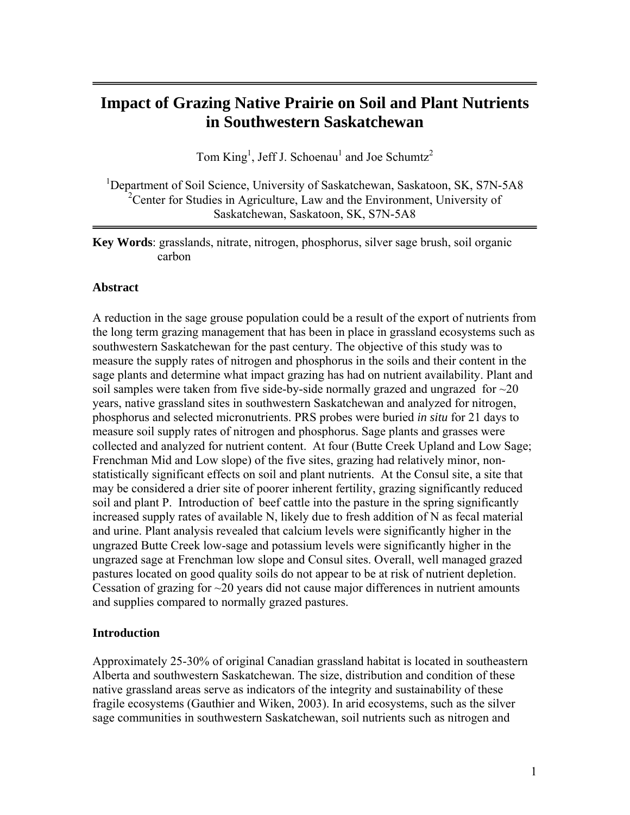# **Impact of Grazing Native Prairie on Soil and Plant Nutrients in Southwestern Saskatchewan**

Tom  $King<sup>1</sup>$ , Jeff J. Schoenau<sup>1</sup> and Joe Schumtz<sup>2</sup>

<sup>1</sup>Department of Soil Science, University of Saskatchewan, Saskatoon, SK, S7N-5A8 <sup>2</sup> Center for Studies in Agriculture, Law and the Environment, University of Saskatchewan, Saskatoon, SK, S7N-5A8

**Key Words**: grasslands, nitrate, nitrogen, phosphorus, silver sage brush, soil organic carbon

## **Abstract**

A reduction in the sage grouse population could be a result of the export of nutrients from the long term grazing management that has been in place in grassland ecosystems such as southwestern Saskatchewan for the past century. The objective of this study was to measure the supply rates of nitrogen and phosphorus in the soils and their content in the sage plants and determine what impact grazing has had on nutrient availability. Plant and soil samples were taken from five side-by-side normally grazed and ungrazed for  $\sim$ 20 years, native grassland sites in southwestern Saskatchewan and analyzed for nitrogen, phosphorus and selected micronutrients. PRS probes were buried *in situ* for 21 days to measure soil supply rates of nitrogen and phosphorus. Sage plants and grasses were collected and analyzed for nutrient content. At four (Butte Creek Upland and Low Sage; Frenchman Mid and Low slope) of the five sites, grazing had relatively minor, nonstatistically significant effects on soil and plant nutrients. At the Consul site, a site that may be considered a drier site of poorer inherent fertility, grazing significantly reduced soil and plant P. Introduction of beef cattle into the pasture in the spring significantly increased supply rates of available N, likely due to fresh addition of N as fecal material and urine. Plant analysis revealed that calcium levels were significantly higher in the ungrazed Butte Creek low-sage and potassium levels were significantly higher in the ungrazed sage at Frenchman low slope and Consul sites. Overall, well managed grazed pastures located on good quality soils do not appear to be at risk of nutrient depletion. Cessation of grazing for  $\sim$ 20 years did not cause major differences in nutrient amounts and supplies compared to normally grazed pastures.

## **Introduction**

Approximately 25-30% of original Canadian grassland habitat is located in southeastern Alberta and southwestern Saskatchewan. The size, distribution and condition of these native grassland areas serve as indicators of the integrity and sustainability of these fragile ecosystems (Gauthier and Wiken, 2003). In arid ecosystems, such as the silver sage communities in southwestern Saskatchewan, soil nutrients such as nitrogen and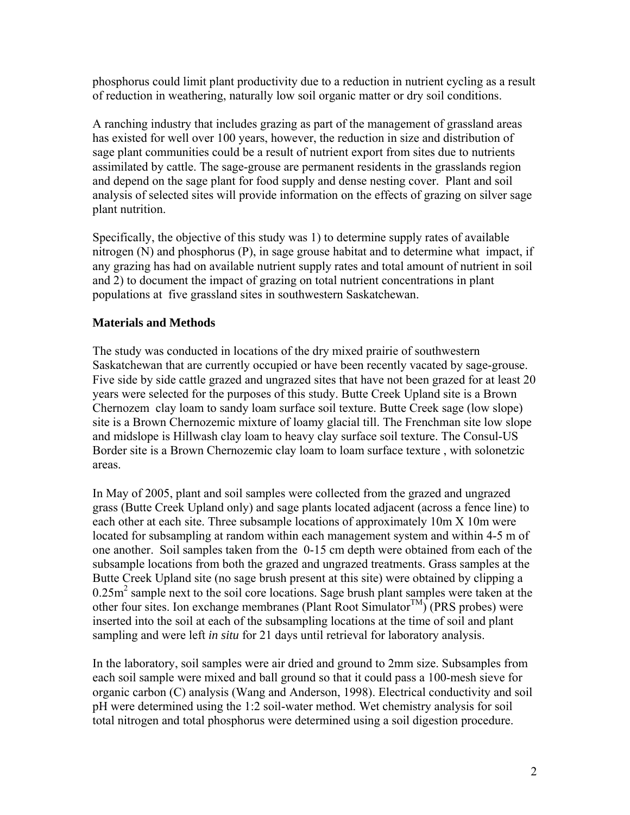phosphorus could limit plant productivity due to a reduction in nutrient cycling as a result of reduction in weathering, naturally low soil organic matter or dry soil conditions.

A ranching industry that includes grazing as part of the management of grassland areas has existed for well over 100 years, however, the reduction in size and distribution of sage plant communities could be a result of nutrient export from sites due to nutrients assimilated by cattle. The sage-grouse are permanent residents in the grasslands region and depend on the sage plant for food supply and dense nesting cover. Plant and soil analysis of selected sites will provide information on the effects of grazing on silver sage plant nutrition.

Specifically, the objective of this study was 1) to determine supply rates of available nitrogen (N) and phosphorus (P), in sage grouse habitat and to determine what impact, if any grazing has had on available nutrient supply rates and total amount of nutrient in soil and 2) to document the impact of grazing on total nutrient concentrations in plant populations at five grassland sites in southwestern Saskatchewan.

# **Materials and Methods**

The study was conducted in locations of the dry mixed prairie of southwestern Saskatchewan that are currently occupied or have been recently vacated by sage-grouse. Five side by side cattle grazed and ungrazed sites that have not been grazed for at least 20 years were selected for the purposes of this study. Butte Creek Upland site is a Brown Chernozem clay loam to sandy loam surface soil texture. Butte Creek sage (low slope) site is a Brown Chernozemic mixture of loamy glacial till. The Frenchman site low slope and midslope is Hillwash clay loam to heavy clay surface soil texture. The Consul-US Border site is a Brown Chernozemic clay loam to loam surface texture , with solonetzic areas.

In May of 2005, plant and soil samples were collected from the grazed and ungrazed grass (Butte Creek Upland only) and sage plants located adjacent (across a fence line) to each other at each site. Three subsample locations of approximately 10m X 10m were located for subsampling at random within each management system and within 4-5 m of one another. Soil samples taken from the 0-15 cm depth were obtained from each of the subsample locations from both the grazed and ungrazed treatments. Grass samples at the Butte Creek Upland site (no sage brush present at this site) were obtained by clipping a 0.25m<sup>2</sup> sample next to the soil core locations. Sage brush plant samples were taken at the other four sites. Ion exchange membranes (Plant Root Simulator<sup>TM</sup>) (PRS probes) were inserted into the soil at each of the subsampling locations at the time of soil and plant sampling and were left *in situ* for 21 days until retrieval for laboratory analysis.

In the laboratory, soil samples were air dried and ground to 2mm size. Subsamples from each soil sample were mixed and ball ground so that it could pass a 100-mesh sieve for organic carbon (C) analysis (Wang and Anderson, 1998). Electrical conductivity and soil pH were determined using the 1:2 soil-water method. Wet chemistry analysis for soil total nitrogen and total phosphorus were determined using a soil digestion procedure.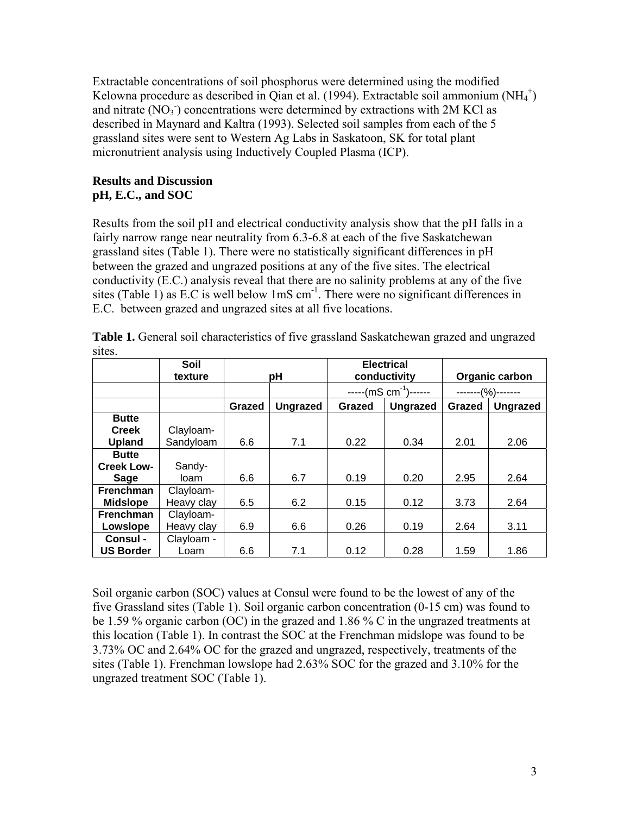Extractable concentrations of soil phosphorus were determined using the modified Kelowna procedure as described in Qian et al. (1994). Extractable soil ammonium  $(NH_4^+)$ and nitrate  $(NO<sub>3</sub>)$  concentrations were determined by extractions with 2M KCl as described in Maynard and Kaltra (1993). Selected soil samples from each of the 5 grassland sites were sent to Western Ag Labs in Saskatoon, SK for total plant micronutrient analysis using Inductively Coupled Plasma (ICP).

# **Results and Discussion pH, E.C., and SOC**

Results from the soil pH and electrical conductivity analysis show that the pH falls in a fairly narrow range near neutrality from 6.3-6.8 at each of the five Saskatchewan grassland sites (Table 1). There were no statistically significant differences in pH between the grazed and ungrazed positions at any of the five sites. The electrical conductivity (E.C.) analysis reveal that there are no salinity problems at any of the five sites (Table 1) as  $E.C$  is well below  $1 \text{mS cm}^{-1}$ . There were no significant differences in E.C. between grazed and ungrazed sites at all five locations.

|                   | Soil       |        |                 | <b>Electrical</b> |                 |                 |                 |
|-------------------|------------|--------|-----------------|-------------------|-----------------|-----------------|-----------------|
|                   | texture    | pH     |                 | conductivity      |                 | Organic carbon  |                 |
|                   |            |        |                 | $---(mS cm-1)---$ |                 | $-(\%)$ ------- |                 |
|                   |            | Grazed | <b>Ungrazed</b> | Grazed            | <b>Ungrazed</b> | Grazed          | <b>Ungrazed</b> |
| <b>Butte</b>      |            |        |                 |                   |                 |                 |                 |
| <b>Creek</b>      | Clayloam-  |        |                 |                   |                 |                 |                 |
| <b>Upland</b>     | Sandyloam  | 6.6    | 7.1             | 0.22              | 0.34            | 2.01            | 2.06            |
| <b>Butte</b>      |            |        |                 |                   |                 |                 |                 |
| <b>Creek Low-</b> | Sandy-     |        |                 |                   |                 |                 |                 |
| Sage              | loam       | 6.6    | 6.7             | 0.19              | 0.20            | 2.95            | 2.64            |
| <b>Frenchman</b>  | Clayloam-  |        |                 |                   |                 |                 |                 |
| <b>Midslope</b>   | Heavy clay | 6.5    | 6.2             | 0.15              | 0.12            | 3.73            | 2.64            |
| <b>Frenchman</b>  | Clayloam-  |        |                 |                   |                 |                 |                 |
| Lowslope          | Heavy clay | 6.9    | 6.6             | 0.26              | 0.19            | 2.64            | 3.11            |
| Consul -          | Clayloam - |        |                 |                   |                 |                 |                 |
| <b>US Border</b>  | Loam       | 6.6    | 7.1             | 0.12              | 0.28            | 1.59            | 1.86            |

**Table 1.** General soil characteristics of five grassland Saskatchewan grazed and ungrazed sites.

Soil organic carbon (SOC) values at Consul were found to be the lowest of any of the five Grassland sites (Table 1). Soil organic carbon concentration (0-15 cm) was found to be 1.59 % organic carbon (OC) in the grazed and 1.86 % C in the ungrazed treatments at this location (Table 1). In contrast the SOC at the Frenchman midslope was found to be 3.73% OC and 2.64% OC for the grazed and ungrazed, respectively, treatments of the sites (Table 1). Frenchman lowslope had 2.63% SOC for the grazed and 3.10% for the ungrazed treatment SOC (Table 1).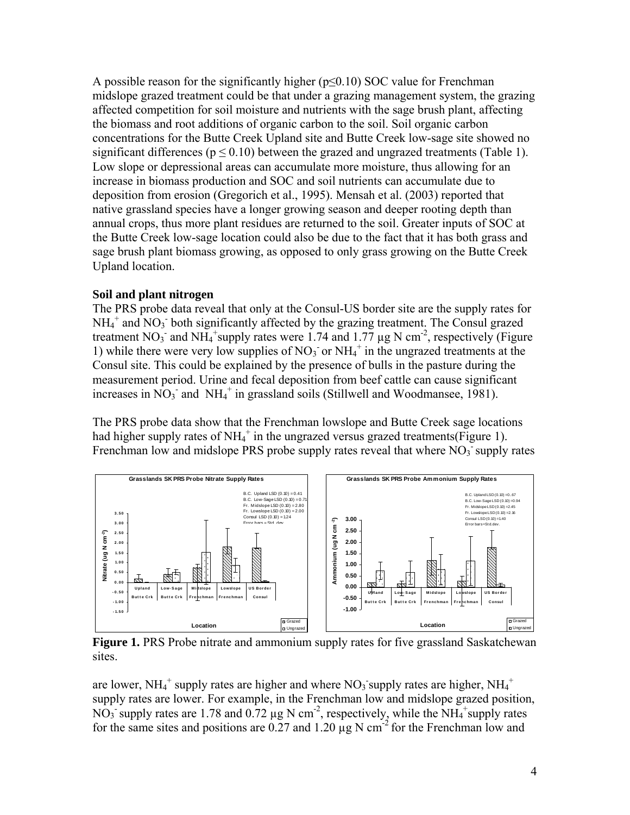A possible reason for the significantly higher ( $p \le 0.10$ ) SOC value for Frenchman midslope grazed treatment could be that under a grazing management system, the grazing affected competition for soil moisture and nutrients with the sage brush plant, affecting the biomass and root additions of organic carbon to the soil. Soil organic carbon concentrations for the Butte Creek Upland site and Butte Creek low-sage site showed no significant differences ( $p \le 0.10$ ) between the grazed and ungrazed treatments (Table 1). Low slope or depressional areas can accumulate more moisture, thus allowing for an increase in biomass production and SOC and soil nutrients can accumulate due to deposition from erosion (Gregorich et al., 1995). Mensah et al. (2003) reported that native grassland species have a longer growing season and deeper rooting depth than annual crops, thus more plant residues are returned to the soil. Greater inputs of SOC at the Butte Creek low-sage location could also be due to the fact that it has both grass and sage brush plant biomass growing, as opposed to only grass growing on the Butte Creek Upland location.

#### **Soil and plant nitrogen**

The PRS probe data reveal that only at the Consul-US border site are the supply rates for  $NH_4^+$  and  $NO_3^-$  both significantly affected by the grazing treatment. The Consul grazed treatment NO<sub>3</sub> and NH<sub>4</sub><sup>+</sup>supply rates were 1.74 and 1.77  $\mu$ g N cm<sup>-2</sup>, respectively (Figure 1) while there were very low supplies of  $NO<sub>3</sub>$  or  $NH<sub>4</sub>$ <sup>+</sup> in the ungrazed treatments at the Consul site. This could be explained by the presence of bulls in the pasture during the measurement period. Urine and fecal deposition from beef cattle can cause significant increases in  $\overline{NO_3}$  and  $\overline{NH_4}^+$  in grassland soils (Stillwell and Woodmansee, 1981).

The PRS probe data show that the Frenchman lowslope and Butte Creek sage locations had higher supply rates of NH<sub>4</sub><sup>+</sup> in the ungrazed versus grazed treatments(Figure 1). Frenchman low and midslope PRS probe supply rates reveal that where  $NO<sub>3</sub>$  supply rates



**Figure 1.** PRS Probe nitrate and ammonium supply rates for five grassland Saskatchewan sites.

are lower, NH<sub>4</sub><sup>+</sup> supply rates are higher and where NO<sub>3</sub> supply rates are higher, NH<sub>4</sub><sup>+</sup> supply rates are lower. For example, in the Frenchman low and midslope grazed position, NO<sub>3</sub> supply rates are 1.78 and 0.72  $\mu$ g N cm<sup>-2</sup>, respectively, while the NH<sub>4</sub><sup>+</sup>supply rates for the same sites and positions are 0.27 and 1.20  $\mu$ g N cm<sup>-2</sup> for the Frenchman low and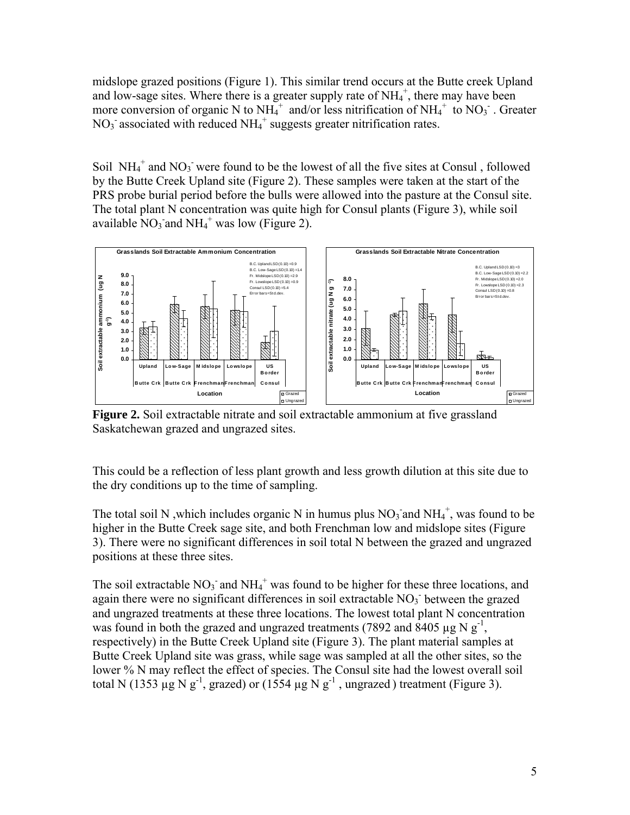midslope grazed positions (Figure 1). This similar trend occurs at the Butte creek Upland and low-sage sites. Where there is a greater supply rate of  $NH<sub>4</sub>$ <sup>+</sup>, there may have been more conversion of organic N to  $NH_4^+$  and/or less nitrification of  $NH_4^+$  to  $NO_3^-$ . Greater  $NO<sub>3</sub>$  associated with reduced  $NH<sub>4</sub>$ <sup>+</sup> suggests greater nitrification rates.

Soil  $NH_4^+$  and  $NO_3^-$  were found to be the lowest of all the five sites at Consul, followed by the Butte Creek Upland site (Figure 2). These samples were taken at the start of the PRS probe burial period before the bulls were allowed into the pasture at the Consul site. The total plant N concentration was quite high for Consul plants (Figure 3), while soil available  $\text{NO}_3$  and  $\text{NH}_4$ <sup>+</sup> was low (Figure 2).



**Figure 2.** Soil extractable nitrate and soil extractable ammonium at five grassland Saskatchewan grazed and ungrazed sites.

This could be a reflection of less plant growth and less growth dilution at this site due to the dry conditions up to the time of sampling.

The total soil N, which includes organic N in humus plus  $NO_3$  and  $NH_4^+$ , was found to be higher in the Butte Creek sage site, and both Frenchman low and midslope sites (Figure 3). There were no significant differences in soil total N between the grazed and ungrazed positions at these three sites.

The soil extractable  $NO_3^-$  and  $NH_4^+$  was found to be higher for these three locations, and again there were no significant differences in soil extractable  $NO<sub>3</sub>$  between the grazed and ungrazed treatments at these three locations. The lowest total plant N concentration was found in both the grazed and ungrazed treatments (7892 and 8405  $\mu$ g N g<sup>-1</sup>, respectively) in the Butte Creek Upland site (Figure 3). The plant material samples at Butte Creek Upland site was grass, while sage was sampled at all the other sites, so the lower % N may reflect the effect of species. The Consul site had the lowest overall soil total N (1353  $\mu$ g N g<sup>-1</sup>, grazed) or (1554  $\mu$ g N g<sup>-1</sup>, ungrazed) treatment (Figure 3).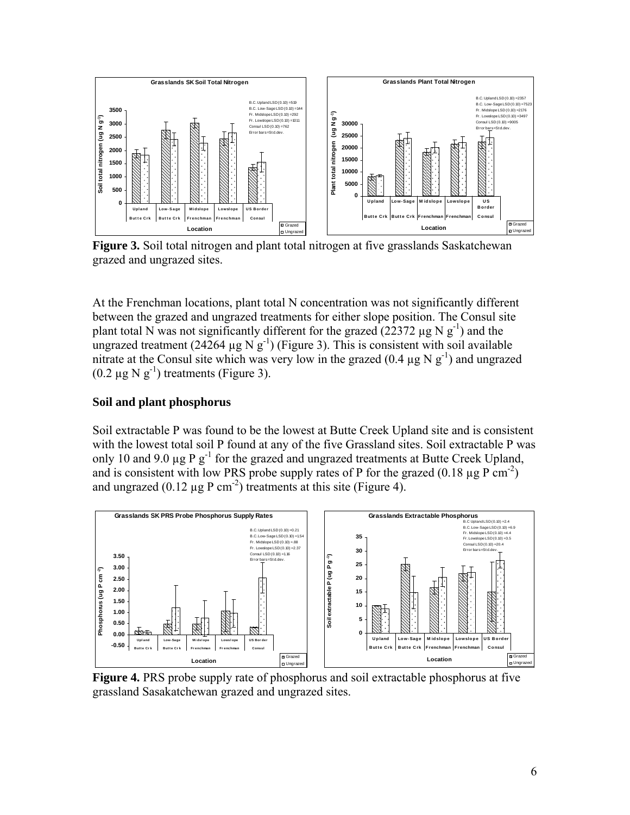

**Figure 3.** Soil total nitrogen and plant total nitrogen at five grasslands Saskatchewan grazed and ungrazed sites.

At the Frenchman locations, plant total N concentration was not significantly different between the grazed and ungrazed treatments for either slope position. The Consul site plant total N was not significantly different for the grazed (22372  $\mu$ g N g<sup>-1</sup>) and the ungrazed treatment (24264  $\mu$ g N g<sup>-1</sup>) (Figure 3). This is consistent with soil available nitrate at the Consul site which was very low in the grazed  $(0.4 \mu g N g<sup>-1</sup>)$  and ungrazed  $(0.2 \mu g N g^{-1})$  treatments (Figure 3).

# **Soil and plant phosphorus**

Soil extractable P was found to be the lowest at Butte Creek Upland site and is consistent with the lowest total soil P found at any of the five Grassland sites. Soil extractable P was only 10 and 9.0  $\mu$ g P g<sup>-1</sup> for the grazed and ungrazed treatments at Butte Creek Upland, and is consistent with low PRS probe supply rates of P for the grazed  $(0.18 \mu g P cm<sup>-2</sup>)$ and ungrazed  $(0.12 \text{ µg} \cdot P \text{ cm}^{-2})$  treatments at this site (Figure 4).



**Figure 4.** PRS probe supply rate of phosphorus and soil extractable phosphorus at five grassland Sasakatchewan grazed and ungrazed sites.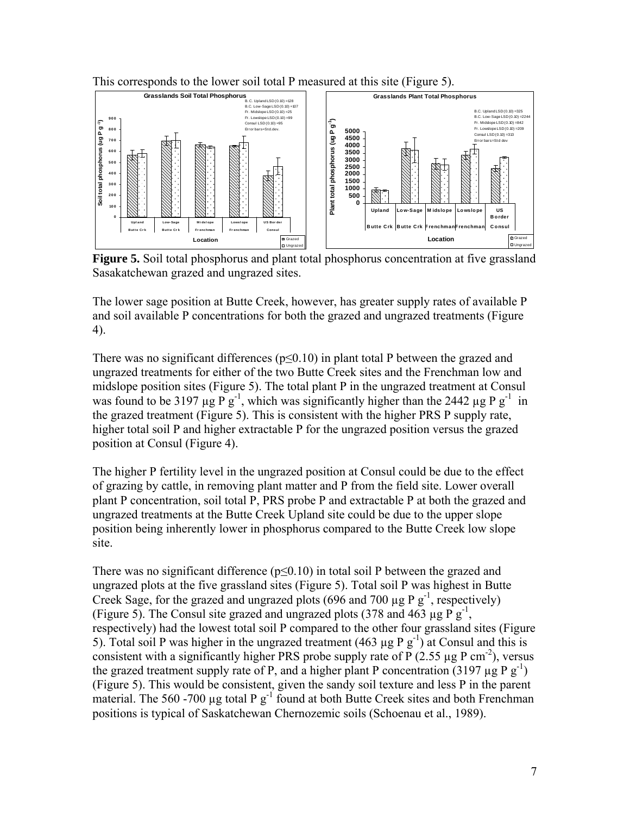

This corresponds to the lower soil total P measured at this site (Figure 5).

**Figure 5.** Soil total phosphorus and plant total phosphorus concentration at five grassland Sasakatchewan grazed and ungrazed sites.

The lower sage position at Butte Creek, however, has greater supply rates of available P and soil available P concentrations for both the grazed and ungrazed treatments (Figure 4).

There was no significant differences (p≤0.10) in plant total P between the grazed and ungrazed treatments for either of the two Butte Creek sites and the Frenchman low and midslope position sites (Figure 5). The total plant P in the ungrazed treatment at Consul was found to be 3197  $\mu g \vec{P} g^{-1}$ , which was significantly higher than the 2442  $\mu g \vec{P} g^{-1}$  in the grazed treatment (Figure 5). This is consistent with the higher PRS P supply rate, higher total soil P and higher extractable P for the ungrazed position versus the grazed position at Consul (Figure 4).

The higher P fertility level in the ungrazed position at Consul could be due to the effect of grazing by cattle, in removing plant matter and P from the field site. Lower overall plant P concentration, soil total P, PRS probe P and extractable P at both the grazed and ungrazed treatments at the Butte Creek Upland site could be due to the upper slope position being inherently lower in phosphorus compared to the Butte Creek low slope site.

There was no significant difference ( $p \le 0.10$ ) in total soil P between the grazed and ungrazed plots at the five grassland sites (Figure 5). Total soil P was highest in Butte Creek Sage, for the grazed and ungrazed plots (696 and 700  $\mu$ g P g<sup>-1</sup>, respectively) (Figure 5). The Consul site grazed and ungrazed plots (378 and 463  $\mu$ g P g<sup>-1</sup>, respectively) had the lowest total soil P compared to the other four grassland sites (Figure 5). Total soil P was higher in the ungrazed treatment (463  $\mu$ g P g<sup>-1</sup>) at Consul and this is consistent with a significantly higher PRS probe supply rate of P (2.55  $\mu$ g P cm<sup>-2</sup>), versus the grazed treatment supply rate of P, and a higher plant P concentration (3197  $\mu$ g P g<sup>-1</sup>) (Figure 5). This would be consistent, given the sandy soil texture and less P in the parent material. The 560 -700  $\mu$ g total P g<sup>-1</sup> found at both Butte Creek sites and both Frenchman positions is typical of Saskatchewan Chernozemic soils (Schoenau et al., 1989).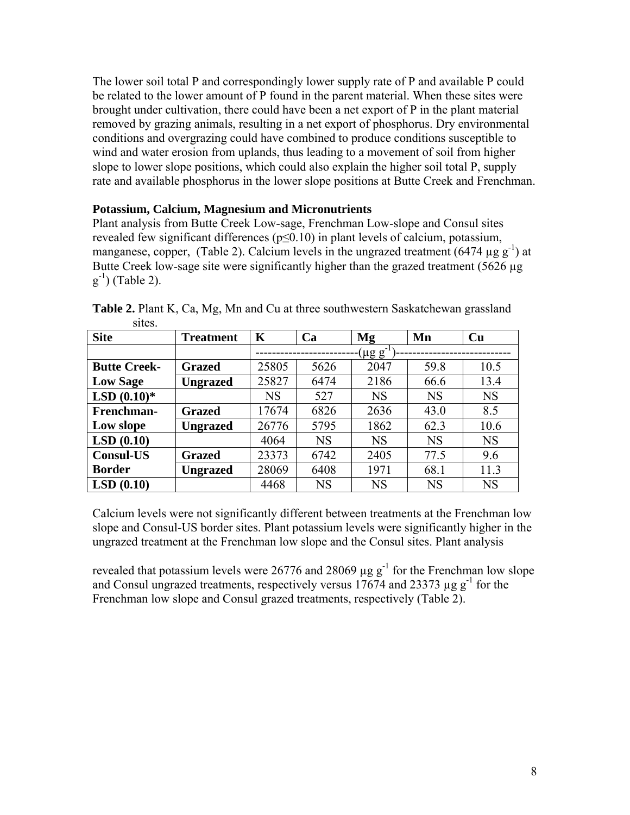The lower soil total P and correspondingly lower supply rate of P and available P could be related to the lower amount of P found in the parent material. When these sites were brought under cultivation, there could have been a net export of P in the plant material removed by grazing animals, resulting in a net export of phosphorus. Dry environmental conditions and overgrazing could have combined to produce conditions susceptible to wind and water erosion from uplands, thus leading to a movement of soil from higher slope to lower slope positions, which could also explain the higher soil total P, supply rate and available phosphorus in the lower slope positions at Butte Creek and Frenchman.

## **Potassium, Calcium, Magnesium and Micronutrients**

Plant analysis from Butte Creek Low-sage, Frenchman Low-slope and Consul sites revealed few significant differences ( $p \le 0.10$ ) in plant levels of calcium, potassium, manganese, copper, (Table 2). Calcium levels in the ungrazed treatment (6474  $\mu$ g g<sup>-1</sup>) at Butte Creek low-sage site were significantly higher than the grazed treatment (5626 µg)  $(g^{-1})$  (Table 2).

| <b>Site</b>         | <b>Treatment</b> | K                 | Ca        | Mg        | Mn        | Cu        |  |  |  |
|---------------------|------------------|-------------------|-----------|-----------|-----------|-----------|--|--|--|
|                     |                  | $(\mu g\ g^{-1})$ |           |           |           |           |  |  |  |
| <b>Butte Creek-</b> | <b>Grazed</b>    | 25805             | 5626      | 2047      | 59.8      | 10.5      |  |  |  |
| <b>Low Sage</b>     | <b>Ungrazed</b>  | 25827             | 6474      | 2186      | 66.6      | 13.4      |  |  |  |
| $LSD(0.10)*$        |                  | <b>NS</b>         | 527       | <b>NS</b> | <b>NS</b> | <b>NS</b> |  |  |  |
| Frenchman-          | <b>Grazed</b>    | 17674             | 6826      | 2636      | 43.0      | 8.5       |  |  |  |
| Low slope           | <b>Ungrazed</b>  | 26776             | 5795      | 1862      | 62.3      | 10.6      |  |  |  |
| LSD(0.10)           |                  | 4064              | <b>NS</b> | <b>NS</b> | <b>NS</b> | <b>NS</b> |  |  |  |
| <b>Consul-US</b>    | <b>Grazed</b>    | 23373             | 6742      | 2405      | 77.5      | 9.6       |  |  |  |
| <b>Border</b>       | <b>Ungrazed</b>  | 28069             | 6408      | 1971      | 68.1      | 11.3      |  |  |  |
| LSD(0.10)           |                  | 4468              | <b>NS</b> | <b>NS</b> | <b>NS</b> | <b>NS</b> |  |  |  |

**Table 2.** Plant K, Ca, Mg, Mn and Cu at three southwestern Saskatchewan grassland sites.

Calcium levels were not significantly different between treatments at the Frenchman low slope and Consul-US border sites. Plant potassium levels were significantly higher in the ungrazed treatment at the Frenchman low slope and the Consul sites. Plant analysis

revealed that potassium levels were  $26776$  and  $28069 \mu g g^{-1}$  for the Frenchman low slope and Consul ungrazed treatments, respectively versus  $17674$  and  $23373 \mu$ g g<sup>-1</sup> for the Frenchman low slope and Consul grazed treatments, respectively (Table 2).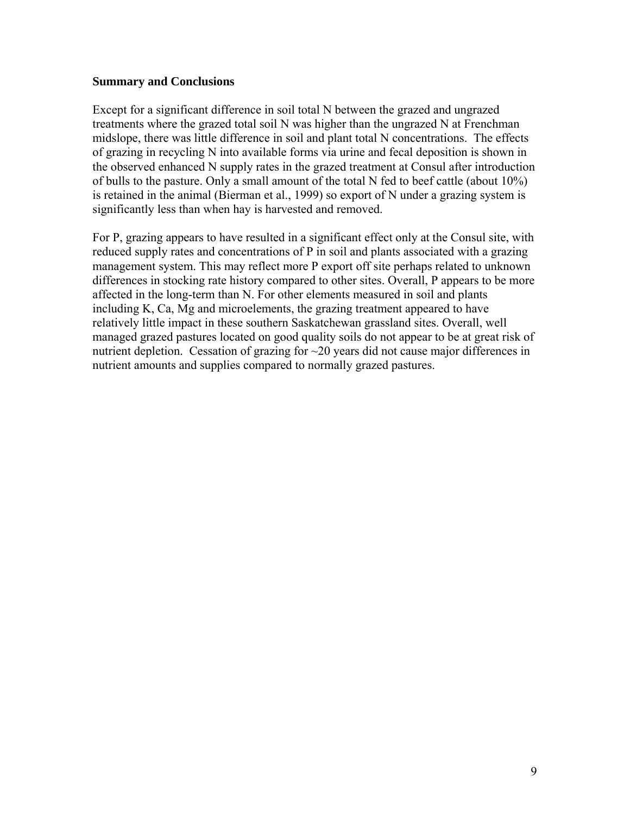## **Summary and Conclusions**

Except for a significant difference in soil total N between the grazed and ungrazed treatments where the grazed total soil N was higher than the ungrazed N at Frenchman midslope, there was little difference in soil and plant total N concentrations. The effects of grazing in recycling N into available forms via urine and fecal deposition is shown in the observed enhanced N supply rates in the grazed treatment at Consul after introduction of bulls to the pasture. Only a small amount of the total N fed to beef cattle (about 10%) is retained in the animal (Bierman et al., 1999) so export of N under a grazing system is significantly less than when hay is harvested and removed.

For P, grazing appears to have resulted in a significant effect only at the Consul site, with reduced supply rates and concentrations of P in soil and plants associated with a grazing management system. This may reflect more P export off site perhaps related to unknown differences in stocking rate history compared to other sites. Overall, P appears to be more affected in the long-term than N. For other elements measured in soil and plants including K, Ca, Mg and microelements, the grazing treatment appeared to have relatively little impact in these southern Saskatchewan grassland sites. Overall, well managed grazed pastures located on good quality soils do not appear to be at great risk of nutrient depletion. Cessation of grazing for ~20 years did not cause major differences in nutrient amounts and supplies compared to normally grazed pastures.